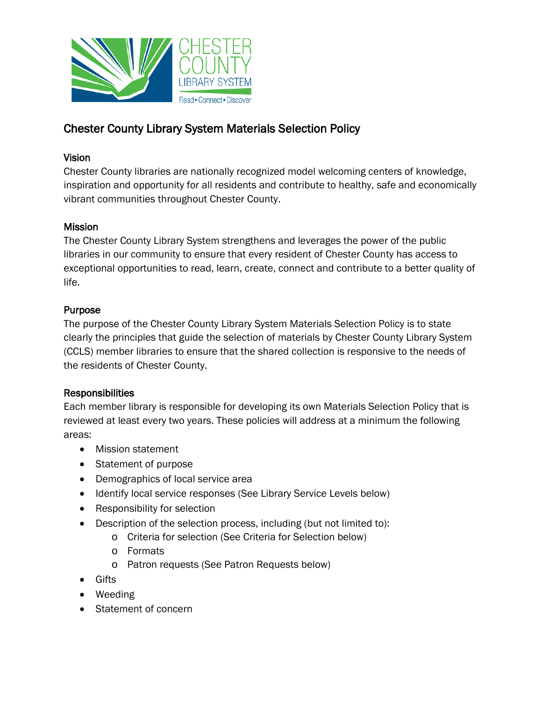

### Vision

Chester County libraries are nationally recognized model welcoming centers of knowledge, inspiration and opportunity for all residents and contribute to healthy, safe and economically vibrant communities throughout Chester County.

### **Mission**

The Chester County Library System strengthens and leverages the power of the public libraries in our community to ensure that every resident of Chester County has access to exceptional opportunities to read, learn, create, connect and contribute to a better quality of life.

### Purpose

The purpose of the Chester County Library System Materials Selection Policy is to state clearly the principles that guide the selection of materials by Chester County Library System (CCLS) member libraries to ensure that the shared collection is responsive to the needs of the residents of Chester County.

## Responsibilities

Each member library is responsible for developing its own Materials Selection Policy that is reviewed at least every two years. These policies will address at a minimum the following areas:

- Mission statement
- Statement of purpose
- Demographics of local service area
- Identify local service responses (See Library Service Levels below)
- Responsibility for selection
- Description of the selection process, including (but not limited to):
	- o Criteria for selection (See Criteria for Selection below)
	- o Formats
	- o Patron requests (See Patron Requests below)
- Gifts
- Weeding
- Statement of concern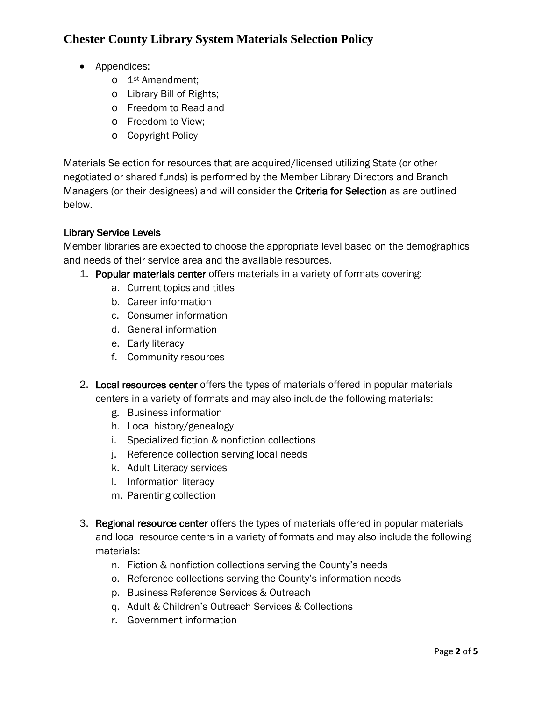- Appendices:
	- o 1st Amendment;
	- o Library Bill of Rights;
	- o Freedom to Read and
	- o Freedom to View;
	- o Copyright Policy

Materials Selection for resources that are acquired/licensed utilizing State (or other negotiated or shared funds) is performed by the Member Library Directors and Branch Managers (or their designees) and will consider the Criteria for Selection as are outlined below.

#### Library Service Levels

Member libraries are expected to choose the appropriate level based on the demographics and needs of their service area and the available resources.

- 1. Popular materials center offers materials in a variety of formats covering:
	- a. Current topics and titles
	- b. Career information
	- c. Consumer information
	- d. General information
	- e. Early literacy
	- f. Community resources
- 2. Local resources center offers the types of materials offered in popular materials centers in a variety of formats and may also include the following materials:
	- g. Business information
	- h. Local history/genealogy
	- i. Specialized fiction & nonfiction collections
	- j. Reference collection serving local needs
	- k. Adult Literacy services
	- l. Information literacy
	- m. Parenting collection
- 3. Regional resource center offers the types of materials offered in popular materials and local resource centers in a variety of formats and may also include the following materials:
	- n. Fiction & nonfiction collections serving the County's needs
	- o. Reference collections serving the County's information needs
	- p. Business Reference Services & Outreach
	- q. Adult & Children's Outreach Services & Collections
	- r. Government information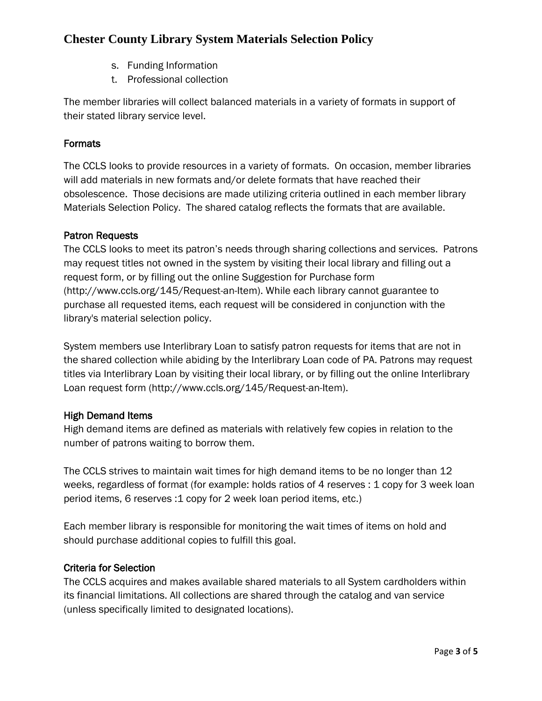- s. Funding Information
- t. Professional collection

The member libraries will collect balanced materials in a variety of formats in support of their stated library service level.

### Formats

The CCLS looks to provide resources in a variety of formats. On occasion, member libraries will add materials in new formats and/or delete formats that have reached their obsolescence. Those decisions are made utilizing criteria outlined in each member library Materials Selection Policy. The shared catalog reflects the formats that are available.

### Patron Requests

The CCLS looks to meet its patron's needs through sharing collections and services. Patrons may request titles not owned in the system by visiting their local library and filling out a request form, or by filling out the online Suggestion for Purchase form (http://www.ccls.org/145/Request-an-Item). While each library cannot guarantee to purchase all requested items, each request will be considered in conjunction with the library's material selection policy.

System members use Interlibrary Loan to satisfy patron requests for items that are not in the shared collection while abiding by the Interlibrary Loan code of PA. Patrons may request titles via Interlibrary Loan by visiting their local library, or by filling out the online Interlibrary Loan request form (http://www.ccls.org/145/Request-an-Item).

## High Demand Items

High demand items are defined as materials with relatively few copies in relation to the number of patrons waiting to borrow them.

The CCLS strives to maintain wait times for high demand items to be no longer than 12 weeks, regardless of format (for example: holds ratios of 4 reserves : 1 copy for 3 week loan period items, 6 reserves :1 copy for 2 week loan period items, etc.)

Each member library is responsible for monitoring the wait times of items on hold and should purchase additional copies to fulfill this goal.

### Criteria for Selection

The CCLS acquires and makes available shared materials to all System cardholders within its financial limitations. All collections are shared through the catalog and van service (unless specifically limited to designated locations).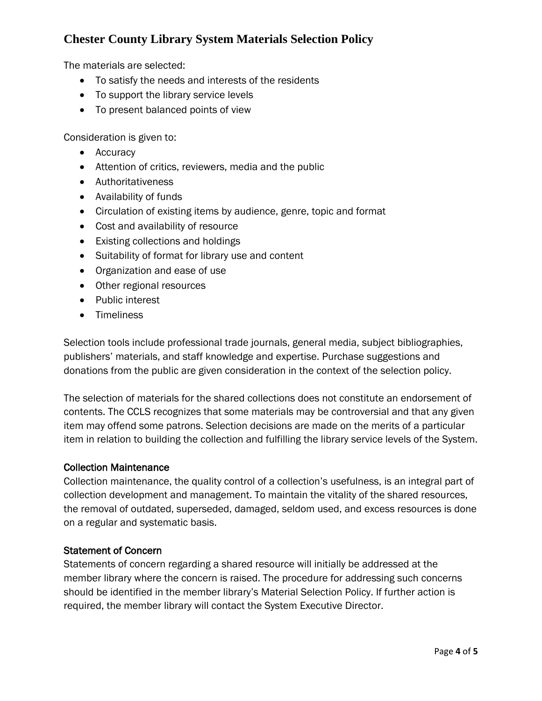The materials are selected:

- To satisfy the needs and interests of the residents
- To support the library service levels
- To present balanced points of view

Consideration is given to:

- Accuracy
- Attention of critics, reviewers, media and the public
- Authoritativeness
- Availability of funds
- Circulation of existing items by audience, genre, topic and format
- Cost and availability of resource
- Existing collections and holdings
- Suitability of format for library use and content
- Organization and ease of use
- Other regional resources
- Public interest
- Timeliness

Selection tools include professional trade journals, general media, subject bibliographies, publishers' materials, and staff knowledge and expertise. Purchase suggestions and donations from the public are given consideration in the context of the selection policy.

The selection of materials for the shared collections does not constitute an endorsement of contents. The CCLS recognizes that some materials may be controversial and that any given item may offend some patrons. Selection decisions are made on the merits of a particular item in relation to building the collection and fulfilling the library service levels of the System.

#### Collection Maintenance

Collection maintenance, the quality control of a collection's usefulness, is an integral part of collection development and management. To maintain the vitality of the shared resources, the removal of outdated, superseded, damaged, seldom used, and excess resources is done on a regular and systematic basis.

#### Statement of Concern

Statements of concern regarding a shared resource will initially be addressed at the member library where the concern is raised. The procedure for addressing such concerns should be identified in the member library's Material Selection Policy. If further action is required, the member library will contact the System Executive Director.